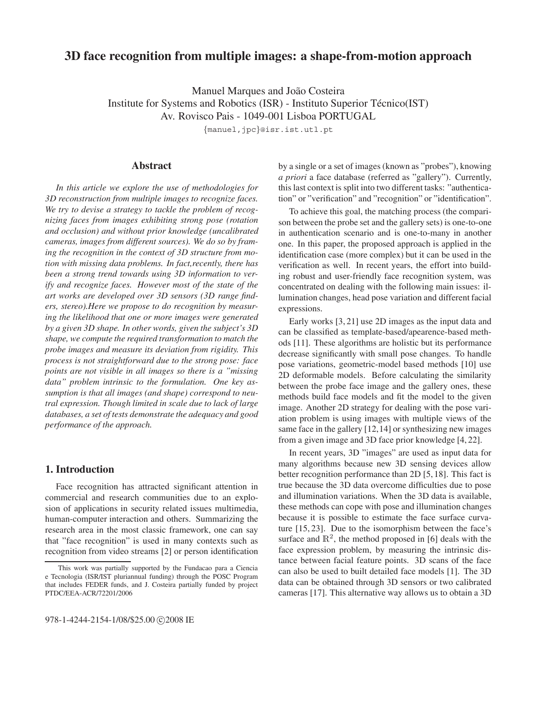# **3D face recognition from multiple images: a shape-from-motion approach**

Manuel Marques and João Costeira Institute for Systems and Robotics (ISR) - Instituto Superior Técnico(IST) Av. Rovisco Pais - 1049-001 Lisboa PORTUGAL

*{*manuel,jpc*}*@isr.ist.utl.pt

# **Abstract**

*In this article we explore the use of methodologies for 3D reconstruction from multiple images to recognize faces. We try to devise a strategy to tackle the problem of recognizing faces from images exhibiting strong pose (rotation and occlusion) and without prior knowledge (uncalibrated cameras, images from different sources). We do so by framing the recognition in the context of 3D structure from motion with missing data problems. In fact,recently, there has been a strong trend towards using 3D information to verify and recognize faces. However most of the state of the art works are developed over 3D sensors (3D range finders, stereo).Here we propose to do recognition by measuring the likelihood that one or more images were generated by a given 3D shape. In other words, given the subject's 3D shape, we compute the required transformation to match the probe images and measure its deviation from rigidity. This process is not straightforward due to the strong pose: face points are not visible in all images so there is a "missing data" problem intrinsic to the formulation. One key assumption is that all images (and shape) correspond to neutral expression. Though limited in scale due to lack of large databases, a set of tests demonstrate the adequacy and good performance of the approach.*

# **1. Introduction**

Face recognition has attracted significant attention in commercial and research communities due to an explosion of applications in security related issues multimedia, human-computer interaction and others. Summarizing the research area in the most classic framework, one can say that "face recognition" is used in many contexts such as recognition from video streams [2] or person identification by a single or a set of images (known as "probes"), knowing *a priori* a face database (referred as "gallery"). Currently, this last context is split into two different tasks: "authentication" or "verification" and "recognition" or "identification".

To achieve this goal, the matching process (the comparison between the probe set and the gallery sets) is one-to-one in authentication scenario and is one-to-many in another one. In this paper, the proposed approach is applied in the identification case (more complex) but it can be used in the verification as well. In recent years, the effort into building robust and user-friendly face recognition system, was concentrated on dealing with the following main issues: illumination changes, head pose variation and different facial expressions.

Early works [3, 21] use 2D images as the input data and can be classified as template-based/apearence-based methods [11]. These algorithms are holistic but its performance decrease significantly with small pose changes. To handle pose variations, geometric-model based methods [10] use 2D deformable models. Before calculating the similarity between the probe face image and the gallery ones, these methods build face models and fit the model to the given image. Another 2D strategy for dealing with the pose variation problem is using images with multiple views of the same face in the gallery [12,14] or synthesizing new images from a given image and 3D face prior knowledge [4, 22].

In recent years, 3D "images" are used as input data for many algorithms because new 3D sensing devices allow better recognition performance than 2D [5, 18]. This fact is true because the 3D data overcome difficulties due to pose and illumination variations. When the 3D data is available, these methods can cope with pose and illumination changes because it is possible to estimate the face surface curvature [15, 23]. Due to the isomorphism between the face's surface and  $\mathbb{R}^2$ , the method proposed in [6] deals with the face expression problem, by measuring the intrinsic distance between facial feature points. 3D scans of the face can also be used to built detailed face models [1]. The 3D data can be obtained through 3D sensors or two calibrated cameras [17]. This alternative way allows us to obtain a 3D

This work was partially supported by the Fundacao para a Ciencia e Tecnologia (ISR/IST pluriannual funding) through the POSC Program that includes FEDER funds, and J. Costeira partially funded by project PTDC/EEA-ACR/72201/2006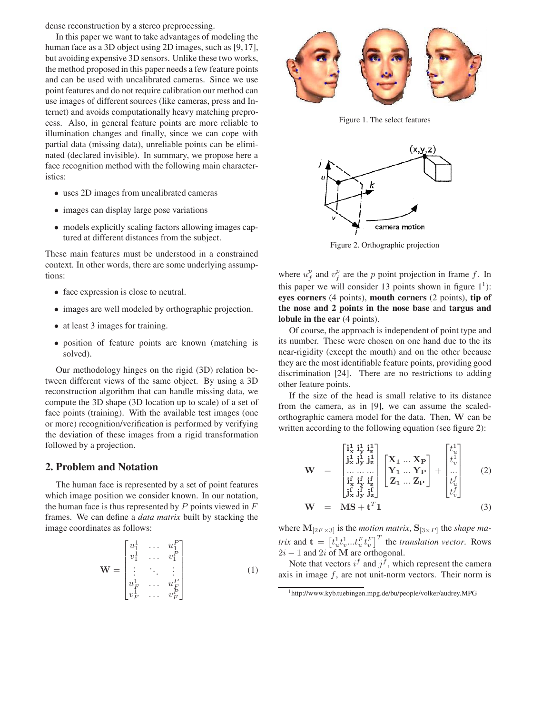dense reconstruction by a stereo preprocessing.

In this paper we want to take advantages of modeling the human face as a 3D object using 2D images, such as [9,17], but avoiding expensive 3D sensors. Unlike these two works, the method proposed in this paper needs a few feature points and can be used with uncalibrated cameras. Since we use point features and do not require calibration our method can use images of different sources (like cameras, press and Internet) and avoids computationally heavy matching preprocess. Also, in general feature points are more reliable to illumination changes and finally, since we can cope with partial data (missing data), unreliable points can be eliminated (declared invisible). In summary, we propose here a face recognition method with the following main characteristics:

- uses 2D images from uncalibrated cameras
- images can display large pose variations
- models explicitly scaling factors allowing images captured at different distances from the subject.

These main features must be understood in a constrained context. In other words, there are some underlying assumptions:

- face expression is close to neutral.
- images are well modeled by orthographic projection.
- at least 3 images for training.
- position of feature points are known (matching is solved).

Our methodology hinges on the rigid (3D) relation between different views of the same object. By using a 3D reconstruction algorithm that can handle missing data, we compute the 3D shape (3D location up to scale) of a set of face points (training). With the available test images (one or more) recognition/verification is performed by verifying the deviation of these images from a rigid transformation followed by a projection.

## **2. Problem and Notation**

The human face is represented by a set of point features which image position we consider known. In our notation, the human face is thus represented by  $P$  points viewed in  $F$ frames. We can define a *data matrix* built by stacking the image coordinates as follows:

$$
\mathbf{W} = \begin{bmatrix} u_1^1 & \cdots & u_1^P \\ v_1^1 & \cdots & v_1^P \\ \vdots & \ddots & \vdots \\ u_F^1 & \cdots & u_F^P \\ v_F^1 & \cdots & v_F^P \end{bmatrix}
$$
 (1)



Figure 1. The select features



Figure 2. Orthographic projection

where  $u_f^p$  and  $v_f^p$  are the p point projection in frame f. In this paper we will consider 13 points shown in figure  $1<sup>1</sup>$ ): **eyes corners** (4 points), **mouth corners** (2 points), **tip of the nose and 2 points in the nose base** and **targus and lobule in the ear** (4 points).

Of course, the approach is independent of point type and its number. These were chosen on one hand due to the its near-rigidity (except the mouth) and on the other because they are the most identifiable feature points, providing good discrimination [24]. There are no restrictions to adding other feature points.

If the size of the head is small relative to its distance from the camera, as in [9], we can assume the scaledorthographic camera model for the data. Then, **W** can be written according to the following equation (see figure 2):

$$
\mathbf{W} = \begin{bmatrix} \mathbf{i}_x^1 & \mathbf{i}_y^1 & \mathbf{i}_z^1 \\ \mathbf{j}_x^1 & \mathbf{j}_y^1 & \mathbf{j}_z^1 \\ \dots & \dots & \dots \\ \mathbf{i}_x^f & \mathbf{i}_y^f & \mathbf{i}_z^f \\ \mathbf{j}_x^f & \mathbf{j}_y^f & \mathbf{j}_z^f \end{bmatrix} \begin{bmatrix} \mathbf{X}_1 & \dots & \mathbf{X}_P \\ \mathbf{Y}_1 & \dots & \mathbf{Y}_P \\ \mathbf{Z}_1 & \dots & \mathbf{Z}_P \end{bmatrix} + \begin{bmatrix} t_u^1 \\ t_v^1 \\ \dots \\ t_u^f \\ t_v^f \end{bmatrix}
$$
(2)

$$
\mathbf{W} = \mathbf{M}\mathbf{S} + \mathbf{t}^T \mathbf{1} \tag{3}
$$

where  $\mathbf{M}_{[2F \times 3]}$  is the *motion matrix*,  $\mathbf{S}_{[3 \times P]}$  the *shape matrix* and  $\mathbf{t} = \left[ t_u^1 t_v^1 ... t_u^F t_v^F \right]^T$  the *translation vector*. Rows  $2i - 1$  and  $2i$  of **M** are orthogonal.

Note that vectors  $i^f$  and  $j^f$ , which represent the camera axis in image  $f$ , are not unit-norm vectors. Their norm is

<sup>1</sup>http://www.kyb.tuebingen.mpg.de/bu/people/volker/audrey.MPG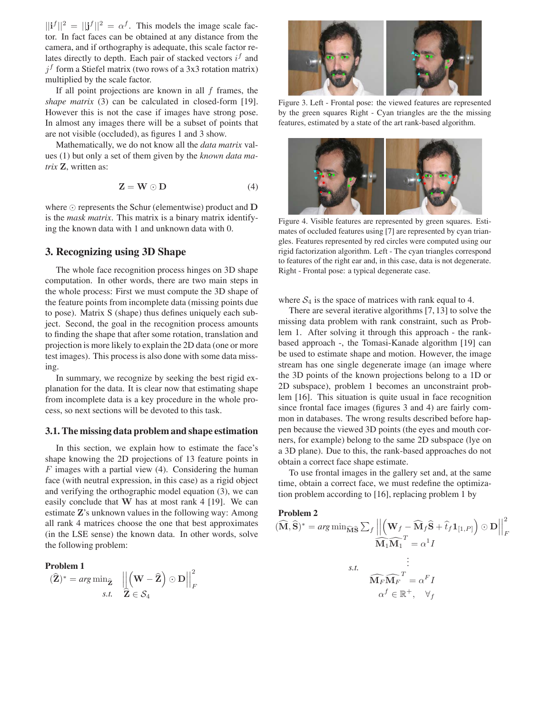$||\mathbf{i}^f||^2 = ||\mathbf{j}^f||^2 = \alpha^f$ . This models the image scale factor. In fact faces can be obtained at any distance from the camera, and if orthography is adequate, this scale factor relates directly to depth. Each pair of stacked vectors  $i<sup>f</sup>$  and  $j<sup>f</sup>$  form a Stiefel matrix (two rows of a 3x3 rotation matrix) multiplied by the scale factor.

If all point projections are known in all  $f$  frames, the *shape matrix* (3) can be calculated in closed-form [19]. However this is not the case if images have strong pose. In almost any images there will be a subset of points that are not visible (occluded), as figures 1 and 3 show.

Mathematically, we do not know all the *data matrix* values (1) but only a set of them given by the *known data matrix* **Z**, written as:

$$
\mathbf{Z} = \mathbf{W} \odot \mathbf{D} \tag{4}
$$

where  $\odot$  represents the Schur (elementwise) product and  $D$ is the *mask matrix*. This matrix is a binary matrix identifying the known data with 1 and unknown data with 0.

# **3. Recognizing using 3D Shape**

The whole face recognition process hinges on 3D shape computation. In other words, there are two main steps in the whole process: First we must compute the 3D shape of the feature points from incomplete data (missing points due to pose). Matrix S (shape) thus defines uniquely each subject. Second, the goal in the recognition process amounts to finding the shape that after some rotation, translation and projection is more likely to explain the 2D data (one or more test images). This process is also done with some data missing.

In summary, we recognize by seeking the best rigid explanation for the data. It is clear now that estimating shape from incomplete data is a key procedure in the whole process, so next sections will be devoted to this task.

### **3.1. The missing data problem and shape estimation**

In this section, we explain how to estimate the face's shape knowing the 2D projections of 13 feature points in  $F$  images with a partial view (4). Considering the human face (with neutral expression, in this case) as a rigid object and verifying the orthographic model equation (3), we can easily conclude that **W** has at most rank 4 [19]. We can estimate **Z**'s unknown values in the following way: Among all rank 4 matrices choose the one that best approximates (in the LSE sense) the known data. In other words, solve the following problem:

## **Problem 1**

$$
(\widehat{\mathbf{Z}})^* = arg \min_{\widehat{\mathbf{Z}}} \quad \left| \left| \left( \mathbf{W} - \widehat{\mathbf{Z}} \right) \odot \mathbf{D} \right| \right|_F^2
$$
  
s.t. 
$$
\widehat{\mathbf{Z}} \in \mathcal{S}_4
$$



Figure 3. Left - Frontal pose: the viewed features are represented by the green squares Right - Cyan triangles are the the missing features, estimated by a state of the art rank-based algorithm.



Figure 4. Visible features are represented by green squares. Estimates of occluded features using [7] are represented by cyan triangles. Features represented by red circles were computed using our rigid factorization algorithm. Left - The cyan triangles correspond to features of the right ear and, in this case, data is not degenerate. Right - Frontal pose: a typical degenerate case.

where  $S_4$  is the space of matrices with rank equal to 4.

There are several iterative algorithms [7, 13] to solve the missing data problem with rank constraint, such as Problem 1. After solving it through this approach - the rankbased approach -, the Tomasi-Kanade algorithm [19] can be used to estimate shape and motion. However, the image stream has one single degenerate image (an image where the 3D points of the known projections belong to a 1D or 2D subspace), problem 1 becomes an unconstraint problem [16]. This situation is quite usual in face recognition since frontal face images (figures 3 and 4) are fairly common in databases. The wrong results described before happen because the viewed 3D points (the eyes and mouth corners, for example) belong to the same 2D subspace (lye on a 3D plane). Due to this, the rank-based approaches do not obtain a correct face shape estimate.

To use frontal images in the gallery set and, at the same time, obtain a correct face, we must redefine the optimization problem according to [16], replacing problem 1 by

#### **Problem 2**

$$
(\widehat{\mathbf{M}}, \widehat{\mathbf{S}})^* = \arg \min_{\widehat{\mathbf{M}} \widehat{\mathbf{S}}} \sum_{f} \left| \left| \left( \mathbf{W}_f - \widehat{\mathbf{M}}_f \widehat{\mathbf{S}} + \widehat{t}_f \mathbf{1}_{[1, P]} \right) \odot \mathbf{D} \right| \right|_F^2
$$
  
s.t. 
$$
\widehat{\mathbf{M}}_F \widehat{\mathbf{M}}_F^T = \alpha^I I
$$

$$
\alpha^f \in \mathbb{R}^+, \quad \forall_f
$$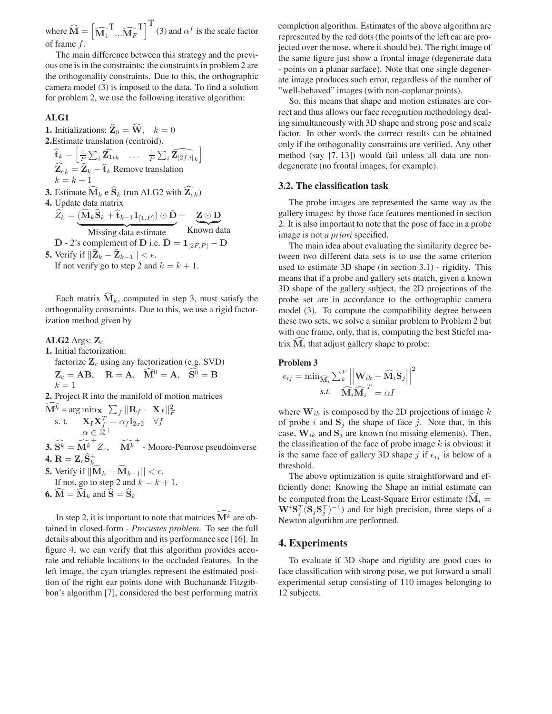where  $\widehat{\mathbf{M}} = \begin{bmatrix} \end{bmatrix}$ **M** <sup>1</sup> T  $...M_F$  $T\begin{bmatrix} T \end{bmatrix}$  (3) and  $\alpha^{f}$  is the scale factor of frame f.

The main difference between this strategy and the previous one is in the constraints: the constraints in problem 2 are the orthogonality constraints. Due to this, the orthographic camera model (3) is imposed to the data. To find a solution for problem 2, we use the following iterative algorithm:

## **ALG1**

**1.** Initializations:  $\mathbf{Z}_0 = \mathbf{W}$ ,  $k = 0$ **2.**Estimate translation (centroid).  $\mathbf{\widehat{t}}_k = \left[\frac{1}{P}\sum_i \widehat{\mathbf{Z}_{1i}}_k \right] \dots \left[\frac{1}{P}\sum_i \widehat{\mathbf{Z}_{[2f,i]}}_k \right]$  $\overline{1}$  $\mathbf{Z}_{ck} = \mathbf{Z}_k - \mathbf{t}_k$  Remove translation  $k = k + 1$ **3.** Estimate  $\mathbf{M}_k$  e  $\mathbf{S}_k$  (run ALG2 with  $\mathbf{Z}_{ck}$ ) **4.** Update data matrix  $\widehat{Z}_k = (\widehat{\mathbf{M}}_k \widehat{\mathbf{S}}_k + \widehat{\mathbf{t}}_{k-1} \mathbf{1}_{[1, P]}) \odot \bar{\mathbf{D}}$ Missing data estimate +  $\frac{Z \odot D}{K}$  **Known data**  $\overline{\mathbf{D}}$  - 2's complement of  $\mathbf{D}$  i.e.  $\overline{\mathbf{D}} = \mathbf{1}_{[2F, P]} - \mathbf{D}$ 

**5.** Verify if  $||\mathbf{Z}_k - \mathbf{Z}_{k-1}|| < \epsilon$ . If not verify go to step 2 and  $k = k + 1$ .

Each matrix  $\widehat{\mathbf{M}}_k$ , computed in step 3, must satisfy the orthogonality constraints. Due to this, we use a rigid factorization method given by

# **ALG2** Args: **Z***<sup>c</sup>*

- **1.** Initial factorization:
	- factorize **Z***<sup>c</sup>* using any factorization (e.g. SVD)  $Z_c = AB$ ,  $R = A$ ,  $\hat{M}^0 = A$ ,  $S^0 = B$  $k = 1$

**2.** Project R into the manifold of motion matrices

$$
\widehat{\mathbf{M}^k} = \arg \min_{\mathbf{X}} \sum_{f} ||\mathbf{R}_f - \mathbf{X}_f||_F^2
$$
  
s. t. 
$$
\mathbf{X}_f \mathbf{X}_f^T = \alpha_f \mathbf{I}_{2x2} \quad \forall f
$$

$$
\alpha \in \mathbb{R}^+
$$

**3.**  $\widehat{S^k} = \widehat{M^k}^+ Z_c$ ,  $\widehat{M^k}^+$  - Moore-Penrose pseudoinverse  $\mathbf{4.} \ \mathbf{R} = \mathbf{Z}_c \widehat{\mathbf{S}}_k^+$ 

**5.** Verify if  $||\widehat{\mathbf{M}}_k - \widehat{\mathbf{M}}_{k-1}|| < \epsilon$ . If not, go to step 2 and  $k = k + 1$ . **6.**  $M = M_k$  and  $S = S_k$ 

In step 2, it is important to note that matrices  $M^k$  are obtained in closed-form - *Procustes problem*. To see the full details about this algorithm and its performance see [16]. In figure 4, we can verify that this algorithm provides accurate and reliable locations to the occluded features. In the left image, the cyan triangles represent the estimated position of the right ear points done with Buchanan& Fitzgibbon's algorithm [7], considered the best performing matrix

completion algorithm. Estimates of the above algorithm are represented by the red dots (the points of the left ear are projected over the nose, where it should be). The right image of the same figure just show a frontal image (degenerate data - points on a planar surface). Note that one single degenerate image produces such error, regardless of the number of "well-behaved" images (with non-coplanar points).

So, this means that shape and motion estimates are correct and thus allows our face recognition methodology dealing simultaneously with 3D shape and strong pose and scale factor. In other words the correct results can be obtained only if the orthogonality constraints are verified. Any other method (say [7, 13]) would fail unless all data are nondegenerate (no frontal images, for example).

## **3.2. The classification task**

The probe images are represented the same way as the gallery images: by those face features mentioned in section 2. It is also important to note that the pose of face in a probe image is not *a priori* specified.

The main idea about evaluating the similarity degree between two different data sets is to use the same criterion used to estimate 3D shape (in section 3.1) - rigidity. This means that if a probe and gallery sets match, given a known 3D shape of the gallery subject, the 2D projections of the probe set are in accordance to the orthographic camera model (3). To compute the compatibility degree between these two sets, we solve a similar problem to Problem 2 but with one frame, only, that is, computing the best Stiefel matrix  $M_i$  that adjust gallery shape to probe:

### **Problem 3**

$$
\epsilon_{ij} = \min_{\widehat{\mathbf{M}}_i} \sum_{k}^{F} \left| \left| \mathbf{W}_{ik} - \widehat{\mathbf{M}}_i \mathbf{S}_j \right| \right|^2
$$
  
s.t.  $\widehat{\mathbf{M}}_i \widehat{\mathbf{M}}_i^T = \alpha I$ 

where  $\mathbf{W}_{ik}$  is composed by the 2D projections of image  $k$ of probe i and  $S_j$  the shape of face j. Note that, in this case,  $W_{ik}$  and  $S_j$  are known (no missing elements). Then, the classification of the face of probe image  $k$  is obvious: it is the same face of gallery 3D shape j if  $\epsilon_{ij}$  is below of a threshold.

The above optimization is quite straightforward and efficiently done: Knowing the Shape an initial estimate can be computed from the Least-Square Error estimate ( $\widehat{M}_i$  =  $\mathbf{W}^i \mathbf{S}_j^T (\mathbf{S}_j \mathbf{S}_j^T)^{-1}$ ) and for high precision, three steps of a Newton algorithm are performed.

## **4. Experiments**

To evaluate if 3D shape and rigidity are good cues to face classification with strong pose, we put forward a small experimental setup consisting of 110 images belonging to 12 subjects.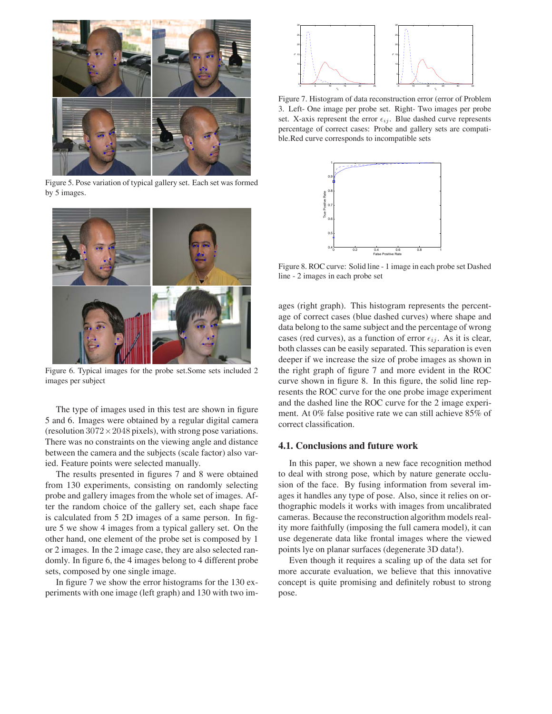

Figure 5. Pose variation of typical gallery set. Each set was formed by 5 images.



Figure 6. Typical images for the probe set.Some sets included 2 images per subject

The type of images used in this test are shown in figure 5 and 6. Images were obtained by a regular digital camera (resolution  $3072 \times 2048$  pixels), with strong pose variations. There was no constraints on the viewing angle and distance between the camera and the subjects (scale factor) also varied. Feature points were selected manually.

The results presented in figures 7 and 8 were obtained from 130 experiments, consisting on randomly selecting probe and gallery images from the whole set of images. After the random choice of the gallery set, each shape face is calculated from 5 2D images of a same person. In figure 5 we show 4 images from a typical gallery set. On the other hand, one element of the probe set is composed by 1 or 2 images. In the 2 image case, they are also selected randomly. In figure 6, the 4 images belong to 4 different probe sets, composed by one single image.

In figure 7 we show the error histograms for the 130 experiments with one image (left graph) and 130 with two im-



Figure 7. Histogram of data reconstruction error (error of Problem 3. Left- One image per probe set. Right- Two images per probe set. X-axis represent the error  $\epsilon_{ij}$ . Blue dashed curve represents percentage of correct cases: Probe and gallery sets are compatible.Red curve corresponds to incompatible sets



Figure 8. ROC curve: Solid line - 1 image in each probe set Dashed line - 2 images in each probe set

ages (right graph). This histogram represents the percentage of correct cases (blue dashed curves) where shape and data belong to the same subject and the percentage of wrong cases (red curves), as a function of error  $\epsilon_{ij}$ . As it is clear, both classes can be easily separated. This separation is even deeper if we increase the size of probe images as shown in the right graph of figure 7 and more evident in the ROC curve shown in figure 8. In this figure, the solid line represents the ROC curve for the one probe image experiment and the dashed line the ROC curve for the 2 image experiment. At 0% false positive rate we can still achieve 85% of correct classification.

# **4.1. Conclusions and future work**

In this paper, we shown a new face recognition method to deal with strong pose, which by nature generate occlusion of the face. By fusing information from several images it handles any type of pose. Also, since it relies on orthographic models it works with images from uncalibrated cameras. Because the reconstruction algorithm models reality more faithfully (imposing the full camera model), it can use degenerate data like frontal images where the viewed points lye on planar surfaces (degenerate 3D data!).

Even though it requires a scaling up of the data set for more accurate evaluation, we believe that this innovative concept is quite promising and definitely robust to strong pose.